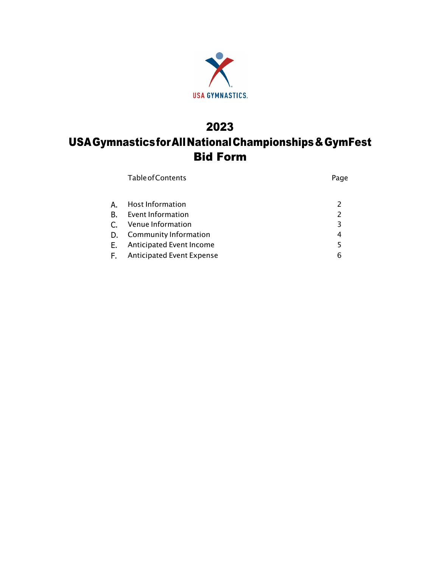

## 2023 USAGymnasticsforAllNationalChampionships&GymFest Bid Form

|           | <b>Table of Contents</b>         | Page           |
|-----------|----------------------------------|----------------|
| А.        | Host Information                 |                |
| <b>B.</b> | Event Information                | $\overline{2}$ |
| C.        | Venue Information                | 3              |
| D.        | Community Information            | 4              |
| Е.        | Anticipated Event Income         | 5              |
| F.,       | <b>Anticipated Event Expense</b> | 6              |
|           |                                  |                |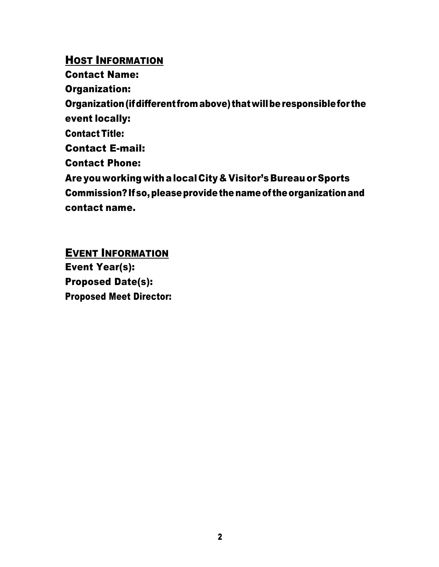#### HOST INFORMATION

Contact Name:

Organization:

Organization (if different from above) that will be responsible for the event locally:

Contact Title:

Contact E-mail:

Contact Phone:

Are you working withalocalCity & Visitor's Bureauor Sports Commission?Ifso,pleaseprovidethenameof theorganizationand contact name.

### EVENT INFORMATION

Event Year(s): Proposed Date(s): Proposed Meet Director: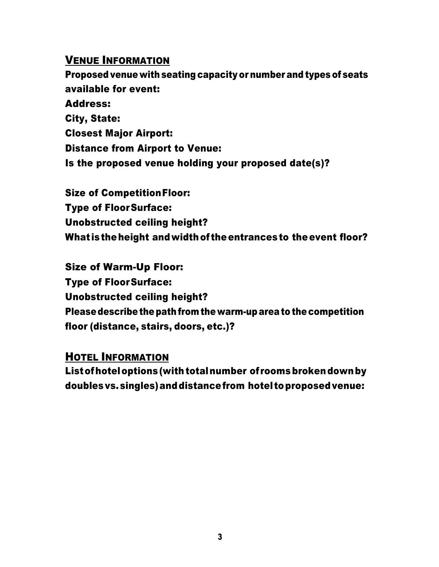#### VENUE INFORMATION

Proposed venue with seating capacity or number and types of seats available for event: Address: City, State: Closest Major Airport: Distance from Airport to Venue: Is the proposed venue holding your proposed date(s)?

Size of CompetitionFloor: Type of FloorSurface: Unobstructed ceiling height? What is the height and width of the entrances to the event floor?

Size of Warm-Up Floor: Type of FloorSurface: Unobstructed ceiling height? Please describe the path from the warm-up area to the competition floor (distance, stairs, doors, etc.)?

HOTEL INFORMATION

Listofhoteloptions (withtotalnumber of roomsbrokendownby doublesvs.singles)anddistancefrom hotel toproposedvenue: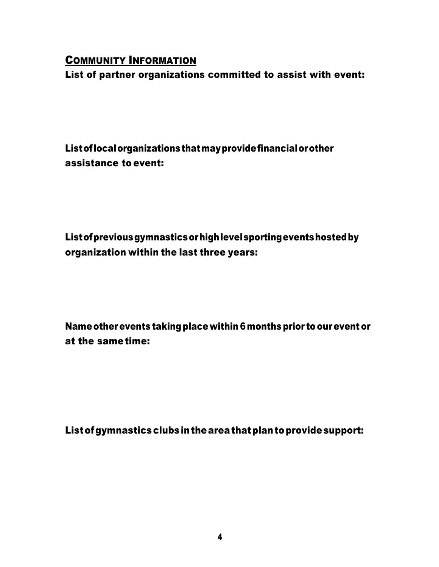#### COMMUNITY INFORMATION

List of partner organizations committed to assist with event:

Listoflocalorganizationsthatmayprovidefinancialorother assistance to event:

Listofpreviousgymnasticsorhighlevelsportingeventshostedby organization within the last three years:

Nameotherevents taking place within 6months prior to ourevent or at the sametime:

Listofgymnasticsclubsintheareathatplantoprovidesupport: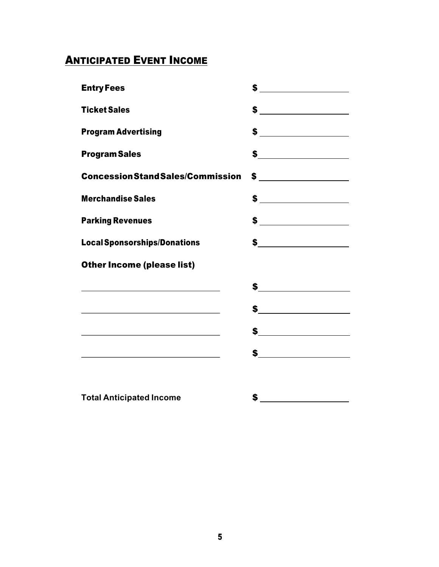# **ANTICIPATED EVENT INCOME**

| <b>Entry Fees</b>                                                                                                    |                                |
|----------------------------------------------------------------------------------------------------------------------|--------------------------------|
| <b>Ticket Sales</b>                                                                                                  |                                |
| <b>Program Advertising</b>                                                                                           |                                |
| <b>Program Sales</b>                                                                                                 |                                |
| <b>ConcessionStandSales/Commission</b>                                                                               |                                |
| <b>Merchandise Sales</b>                                                                                             | $$\underline{\hspace{2.5cm}}$$ |
| <b>Parking Revenues</b>                                                                                              | $$\underline{\hspace{2.5cm}}$$ |
| <b>Local Sponsorships/Donations</b>                                                                                  |                                |
| <b>Other Income (please list)</b>                                                                                    |                                |
|                                                                                                                      | <b>\$</b>                      |
|                                                                                                                      | $\frac{1}{2}$                  |
| <u> 1989 - Johann Barn, mars eta bainar eta bainar eta baina eta baina eta baina eta baina eta baina eta baina e</u> | <b>\$</b> ________________     |
| <u> 1989 - Johann Stoff, Amerikaansk politiker († 1908)</u>                                                          |                                |
|                                                                                                                      |                                |
| <b>Total Anticipated Income</b>                                                                                      | \$                             |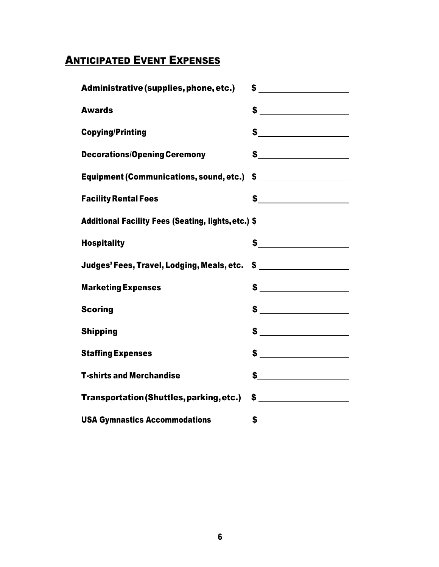### **ANTICIPATED EVENT EXPENSES**

| Administrative (supplies, phone, etc.)                                            | $\frac{1}{2}$                                                        |  |  |  |
|-----------------------------------------------------------------------------------|----------------------------------------------------------------------|--|--|--|
| <b>Awards</b>                                                                     |                                                                      |  |  |  |
| <b>Copying/Printing</b>                                                           |                                                                      |  |  |  |
| <b>Decorations/Opening Ceremony</b>                                               |                                                                      |  |  |  |
| Equipment (Communications, sound, etc.) \$ _____________________                  |                                                                      |  |  |  |
| <b>Facility Rental Fees</b>                                                       |                                                                      |  |  |  |
| Additional Facility Fees (Seating, lights, etc.) \$ _____________________________ |                                                                      |  |  |  |
| <b>Hospitality</b>                                                                |                                                                      |  |  |  |
| Judges' Fees, Travel, Lodging, Meals, etc. \$ _____________________               |                                                                      |  |  |  |
| <b>Marketing Expenses</b>                                                         |                                                                      |  |  |  |
| <b>Scoring</b>                                                                    |                                                                      |  |  |  |
| <b>Shipping</b>                                                                   |                                                                      |  |  |  |
| <b>Staffing Expenses</b>                                                          |                                                                      |  |  |  |
| <b>T-shirts and Merchandise</b>                                                   | $\frac{1}{\sqrt{1-\frac{1}{2}}\left(\frac{1}{2}-\frac{1}{2}\right)}$ |  |  |  |
| Transportation (Shuttles, parking, etc.)                                          | $\frac{1}{\sqrt{2}}$                                                 |  |  |  |
| <b>USA Gymnastics Accommodations</b>                                              |                                                                      |  |  |  |